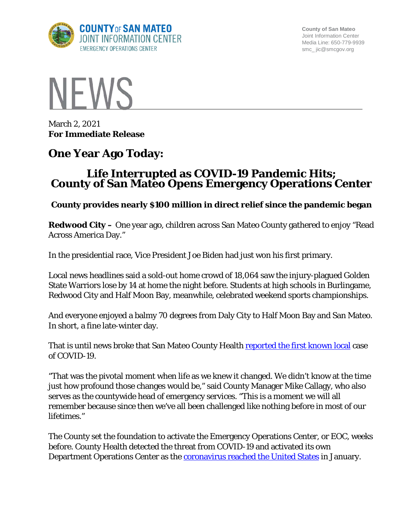

**County of San Mateo** Joint Information Center Media Line: 650-779-9939 smc\_ jic@smcgov.org



March 2, 2021 **For Immediate Release**

## **One Year Ago Today:**

## **Life Interrupted as COVID-19 Pandemic Hits; County of San Mateo Opens Emergency Operations Center**

## **County provides nearly \$100 million in direct relief since the pandemic began**

**Redwood City –** One year ago, children across San Mateo County gathered to enjoy "Read Across America Day."

In the presidential race, Vice President Joe Biden had just won his first primary.

Local news headlines said a sold-out home crowd of 18,064 saw the injury-plagued Golden State Warriors lose by 14 at home the night before. Students at high schools in Burlingame, Redwood City and Half Moon Bay, meanwhile, celebrated weekend sports championships.

And everyone enjoyed a balmy 70 degrees from Daly City to Half Moon Bay and San Mateo. In short, a fine late-winter day.

That is until news broke that San Mateo County Health [reported the first known local](https://www.smcgov.org/press-release/march-2-2020-county-san-mateo-activates-emergency-operations-center-support-health) case of COVID-19.

"That was the pivotal moment when life as we knew it changed. We didn't know at the time just how profound those changes would be," said County Manager Mike Callagy, who also serves as the countywide head of emergency services. "This is a moment we will all remember because since then we've all been challenged like nothing before in most of our lifetimes."

The County set the foundation to activate the Emergency Operations Center, or EOC, weeks before. County Health detected the threat from COVID-19 and activated its own Department Operations Center as the [coronavirus reached the United States](https://www.cdc.gov/media/releases/2020/p0121-novel-coronavirus-travel-case.html) in January.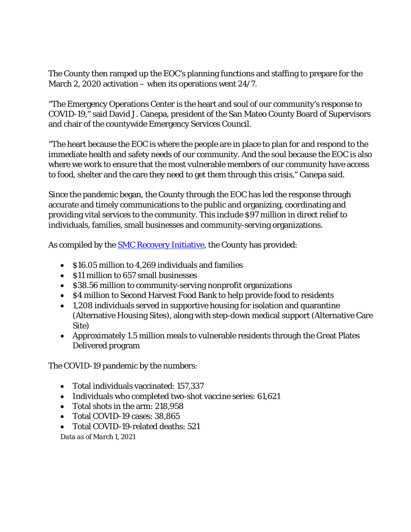The County then ramped up the EOC's planning functions and staffing to prepare for the March 2, 2020 activation – when its operations went 24/7.

"The Emergency Operations Center is the heart and soul of our community's response to COVID-19," said David J. Canepa, president of the San Mateo County Board of Supervisors and chair of the countywide Emergency Services Council.

"The heart because the EOC is where the people are in place to plan for and respond to the immediate health and safety needs of our community. And the soul because the EOC is also where we work to ensure that the most vulnerable members of our community have access to food, shelter and the care they need to get them through this crisis," Canepa said.

Since the pandemic began, the County through the EOC has led the response through accurate and timely communications to the public and organizing, coordinating and providing vital services to the community. This include \$97 million in direct relief to individuals, families, small businesses and community-serving organizations.

As compiled by the **SMC Recovery Initiative**, the County has provided:

- \$16.05 million to 4,269 individuals and families
- S11 million to 657 small businesses
- \$38.56 million to community-serving nonprofit organizations
- \$4 million to Second Harvest Food Bank to help provide food to residents
- 1,208 individuals served in supportive housing for isolation and quarantine (Alternative Housing Sites), along with step-down medical support (Alternative Care Site)
- Approximately 1.5 million meals to vulnerable residents through the Great Plates Delivered program

The COVID-19 pandemic by the numbers:

- Total individuals vaccinated: 157,337
- Individuals who completed two-shot vaccine series: 61,621
- Total shots in the arm: 218,958
- Total COVID-19 cases: 38,865
- Total COVID-19-related deaths: 521

*Data as of March 1, 2021*